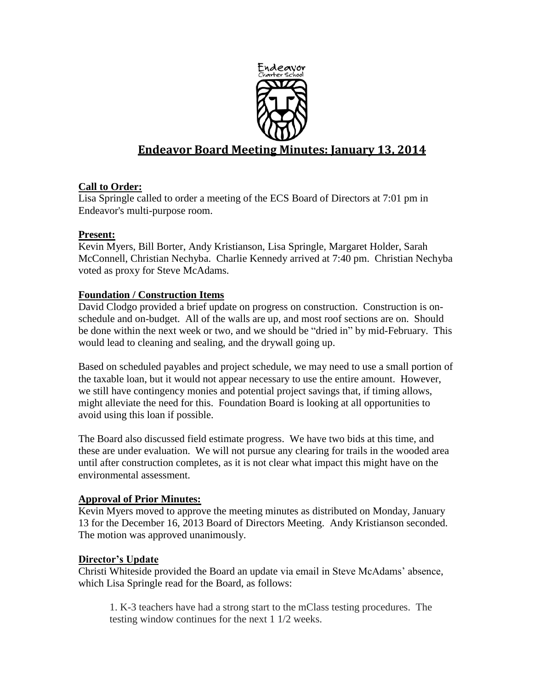

# **Endeavor Board Meeting Minutes: January 13, 2014**

## **Call to Order:**

Lisa Springle called to order a meeting of the ECS Board of Directors at 7:01 pm in Endeavor's multi-purpose room.

## **Present:**

Kevin Myers, Bill Borter, Andy Kristianson, Lisa Springle, Margaret Holder, Sarah McConnell, Christian Nechyba. Charlie Kennedy arrived at 7:40 pm. Christian Nechyba voted as proxy for Steve McAdams.

## **Foundation / Construction Items**

David Clodgo provided a brief update on progress on construction. Construction is onschedule and on-budget. All of the walls are up, and most roof sections are on. Should be done within the next week or two, and we should be "dried in" by mid-February. This would lead to cleaning and sealing, and the drywall going up.

Based on scheduled payables and project schedule, we may need to use a small portion of the taxable loan, but it would not appear necessary to use the entire amount. However, we still have contingency monies and potential project savings that, if timing allows, might alleviate the need for this. Foundation Board is looking at all opportunities to avoid using this loan if possible.

The Board also discussed field estimate progress. We have two bids at this time, and these are under evaluation. We will not pursue any clearing for trails in the wooded area until after construction completes, as it is not clear what impact this might have on the environmental assessment.

## **Approval of Prior Minutes:**

Kevin Myers moved to approve the meeting minutes as distributed on Monday, January 13 for the December 16, 2013 Board of Directors Meeting. Andy Kristianson seconded. The motion was approved unanimously.

## **Director's Update**

Christi Whiteside provided the Board an update via email in Steve McAdams' absence, which Lisa Springle read for the Board, as follows:

1. K-3 teachers have had a strong start to the mClass testing procedures. The testing window continues for the next 1 1/2 weeks.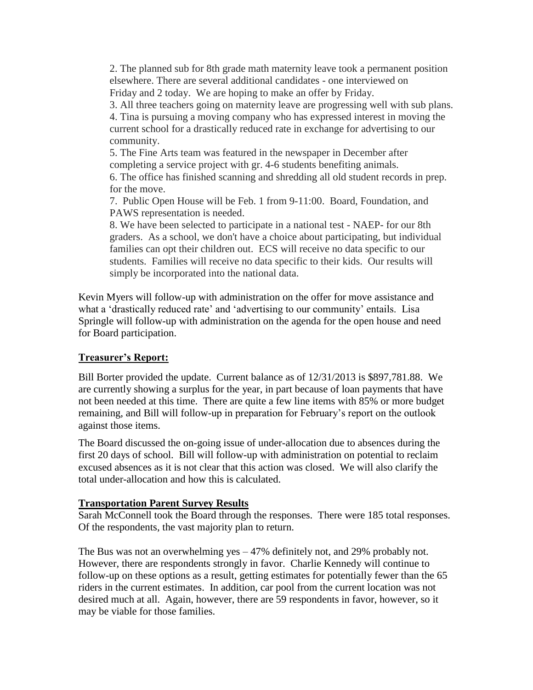2. The planned sub for 8th grade math maternity leave took a permanent position elsewhere. There are several additional candidates - one interviewed on Friday and 2 today. We are hoping to make an offer by Friday.

3. All three teachers going on maternity leave are progressing well with sub plans.

4. Tina is pursuing a moving company who has expressed interest in moving the current school for a drastically reduced rate in exchange for advertising to our community.

5. The Fine Arts team was featured in the newspaper in December after completing a service project with gr. 4-6 students benefiting animals.

6. The office has finished scanning and shredding all old student records in prep. for the move.

7. Public Open House will be Feb. 1 from 9-11:00. Board, Foundation, and PAWS representation is needed.

8. We have been selected to participate in a national test - NAEP- for our 8th graders. As a school, we don't have a choice about participating, but individual families can opt their children out. ECS will receive no data specific to our students. Families will receive no data specific to their kids. Our results will simply be incorporated into the national data.

Kevin Myers will follow-up with administration on the offer for move assistance and what a 'drastically reduced rate' and 'advertising to our community' entails. Lisa Springle will follow-up with administration on the agenda for the open house and need for Board participation.

## **Treasurer's Report:**

Bill Borter provided the update. Current balance as of 12/31/2013 is \$897,781.88. We are currently showing a surplus for the year, in part because of loan payments that have not been needed at this time. There are quite a few line items with 85% or more budget remaining, and Bill will follow-up in preparation for February's report on the outlook against those items.

The Board discussed the on-going issue of under-allocation due to absences during the first 20 days of school. Bill will follow-up with administration on potential to reclaim excused absences as it is not clear that this action was closed. We will also clarify the total under-allocation and how this is calculated.

## **Transportation Parent Survey Results**

Sarah McConnell took the Board through the responses. There were 185 total responses. Of the respondents, the vast majority plan to return.

The Bus was not an overwhelming yes  $-47\%$  definitely not, and 29% probably not. However, there are respondents strongly in favor. Charlie Kennedy will continue to follow-up on these options as a result, getting estimates for potentially fewer than the 65 riders in the current estimates. In addition, car pool from the current location was not desired much at all. Again, however, there are 59 respondents in favor, however, so it may be viable for those families.